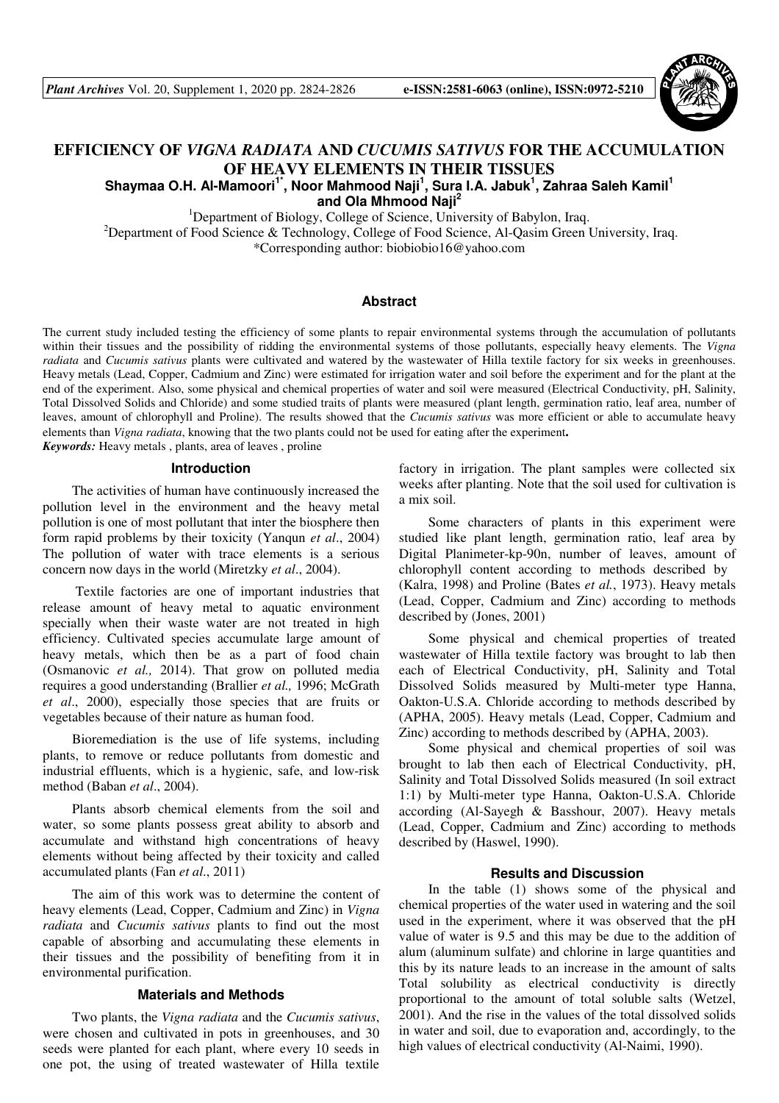

# **EFFICIENCY OF** *VIGNA RADIATA* **AND** *CUCUMIS SATIVUS* **FOR THE ACCUMULATION OF HEAVY ELEMENTS IN THEIR TISSUES**

## **Shaymaa O.H. Al-Mamoori1\*, Noor Mahmood Naji<sup>1</sup> , Sura I.A. Jabuk<sup>1</sup> , Zahraa Saleh Kamil<sup>1</sup> and Ola Mhmood Naji<sup>2</sup>**

<sup>1</sup>Department of Biology, College of Science, University of Babylon, Iraq.

<sup>2</sup>Department of Food Science & Technology, College of Food Science, Al-Qasim Green University, Iraq. \*Corresponding author: biobiobio16@yahoo.com

## **Abstract**

The current study included testing the efficiency of some plants to repair environmental systems through the accumulation of pollutants within their tissues and the possibility of ridding the environmental systems of those pollutants, especially heavy elements. The *Vigna radiata* and *Cucumis sativus* plants were cultivated and watered by the wastewater of Hilla textile factory for six weeks in greenhouses. Heavy metals (Lead, Copper, Cadmium and Zinc) were estimated for irrigation water and soil before the experiment and for the plant at the end of the experiment. Also, some physical and chemical properties of water and soil were measured (Electrical Conductivity, pH, Salinity, Total Dissolved Solids and Chloride) and some studied traits of plants were measured (plant length, germination ratio, leaf area, number of leaves, amount of chlorophyll and Proline). The results showed that the *Cucumis sativus* was more efficient or able to accumulate heavy elements than *Vigna radiata*, knowing that the two plants could not be used for eating after the experiment.

*Keywords:* Heavy metals , plants, area of leaves , proline

## **Introduction**

The activities of human have continuously increased the pollution level in the environment and the heavy metal pollution is one of most pollutant that inter the biosphere then form rapid problems by their toxicity (Yanqun *et al*., 2004) The pollution of water with trace elements is a serious concern now days in the world (Miretzky *et al*., 2004).

 Textile factories are one of important industries that release amount of heavy metal to aquatic environment specially when their waste water are not treated in high efficiency. Cultivated species accumulate large amount of heavy metals, which then be as a part of food chain (Osmanovic *et al.,* 2014). That grow on polluted media requires a good understanding (Brallier *et al.,* 1996; McGrath *et al*., 2000), especially those species that are fruits or vegetables because of their nature as human food.

Bioremediation is the use of life systems, including plants, to remove or reduce pollutants from domestic and industrial effluents, which is a hygienic, safe, and low-risk method (Baban *et al*., 2004).

Plants absorb chemical elements from the soil and water, so some plants possess great ability to absorb and accumulate and withstand high concentrations of heavy elements without being affected by their toxicity and called accumulated plants (Fan *et al*., 2011)

The aim of this work was to determine the content of heavy elements (Lead, Copper, Cadmium and Zinc) in *Vigna radiata* and *Cucumis sativus* plants to find out the most capable of absorbing and accumulating these elements in their tissues and the possibility of benefiting from it in environmental purification.

#### **Materials and Methods**

Two plants, the *Vigna radiata* and the *Cucumis sativus*, were chosen and cultivated in pots in greenhouses, and 30 seeds were planted for each plant, where every 10 seeds in one pot, the using of treated wastewater of Hilla textile factory in irrigation. The plant samples were collected six weeks after planting. Note that the soil used for cultivation is a mix soil.

Some characters of plants in this experiment were studied like plant length, germination ratio, leaf area by Digital Planimeter-kp-90n, number of leaves, amount of chlorophyll content according to methods described by (Kalra, 1998) and Proline (Bates *et al.*, 1973). Heavy metals (Lead, Copper, Cadmium and Zinc) according to methods described by (Jones, 2001)

Some physical and chemical properties of treated wastewater of Hilla textile factory was brought to lab then each of Electrical Conductivity, pH, Salinity and Total Dissolved Solids measured by Multi-meter type Hanna, Oakton-U.S.A. Chloride according to methods described by (APHA, 2005). Heavy metals (Lead, Copper, Cadmium and Zinc) according to methods described by (APHA, 2003).

Some physical and chemical properties of soil was brought to lab then each of Electrical Conductivity, pH, Salinity and Total Dissolved Solids measured (In soil extract 1:1) by Multi-meter type Hanna, Oakton-U.S.A. Chloride according (Al-Sayegh & Basshour, 2007). Heavy metals (Lead, Copper, Cadmium and Zinc) according to methods described by (Haswel, 1990).

#### **Results and Discussion**

In the table (1) shows some of the physical and chemical properties of the water used in watering and the soil used in the experiment, where it was observed that the pH value of water is 9.5 and this may be due to the addition of alum (aluminum sulfate) and chlorine in large quantities and this by its nature leads to an increase in the amount of salts Total solubility as electrical conductivity is directly proportional to the amount of total soluble salts (Wetzel, 2001). And the rise in the values of the total dissolved solids in water and soil, due to evaporation and, accordingly, to the high values of electrical conductivity (Al-Naimi, 1990).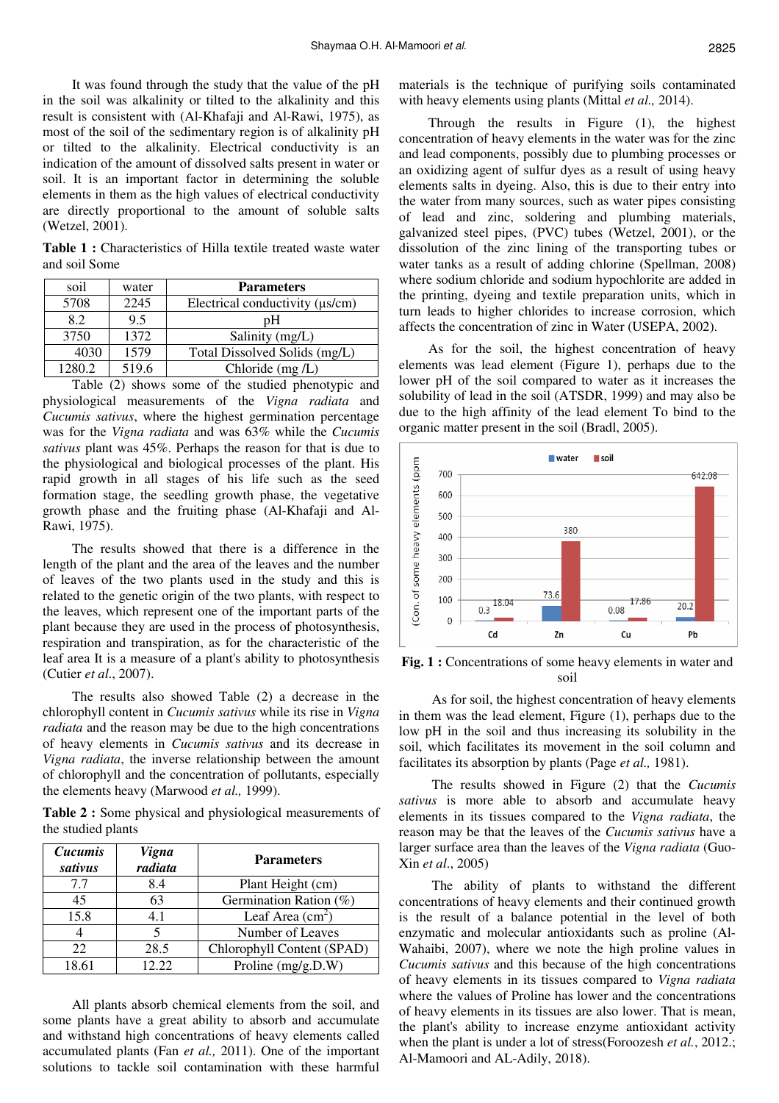It was found through the study that the value of the pH in the soil was alkalinity or tilted to the alkalinity and this result is consistent with (Al-Khafaji and Al-Rawi, 1975), as most of the soil of the sedimentary region is of alkalinity pH or tilted to the alkalinity. Electrical conductivity is an indication of the amount of dissolved salts present in water or soil. It is an important factor in determining the soluble elements in them as the high values of electrical conductivity are directly proportional to the amount of soluble salts (Wetzel, 2001).

**Table 1 :** Characteristics of Hilla textile treated waste water and soil Some

| soil   | water | <b>Parameters</b>                      |
|--------|-------|----------------------------------------|
| 5708   | 2245  | Electrical conductivity ( $\mu s/cm$ ) |
| 8.2    | 9.5   | pΗ                                     |
| 3750   | 1372  | Salinity (mg/L)                        |
| 4030   | 1579  | Total Dissolved Solids (mg/L)          |
| 1280.2 | 519.6 | Chloride $(mg/L)$                      |

Table (2) shows some of the studied phenotypic and physiological measurements of the *Vigna radiata* and *Cucumis sativus*, where the highest germination percentage was for the *Vigna radiata* and was 63% while the *Cucumis sativus* plant was 45%. Perhaps the reason for that is due to the physiological and biological processes of the plant. His rapid growth in all stages of his life such as the seed formation stage, the seedling growth phase, the vegetative growth phase and the fruiting phase (Al-Khafaji and Al-Rawi, 1975).

The results showed that there is a difference in the length of the plant and the area of the leaves and the number of leaves of the two plants used in the study and this is related to the genetic origin of the two plants, with respect to the leaves, which represent one of the important parts of the plant because they are used in the process of photosynthesis, respiration and transpiration, as for the characteristic of the leaf area It is a measure of a plant's ability to photosynthesis (Cutier *et al*., 2007).

The results also showed Table (2) a decrease in the chlorophyll content in *Cucumis sativus* while its rise in *Vigna radiata* and the reason may be due to the high concentrations of heavy elements in *Cucumis sativus* and its decrease in *Vigna radiata*, the inverse relationship between the amount of chlorophyll and the concentration of pollutants, especially the elements heavy (Marwood *et al.,* 1999).

**Table 2 :** Some physical and physiological measurements of the studied plants

| Cucumis<br>sativus | <b>Vigna</b><br>radiata | <b>Parameters</b>          |
|--------------------|-------------------------|----------------------------|
| 7.7                | 8.4                     | Plant Height (cm)          |
| 45                 | 63                      | Germination Ration (%)     |
| 15.8               | 4.1                     | Leaf Area $(cm2)$          |
|                    |                         | Number of Leaves           |
| 22                 | 28.5                    | Chlorophyll Content (SPAD) |
| 18.61              | 12.22                   | Proline (mg/g.D.W)         |

All plants absorb chemical elements from the soil, and some plants have a great ability to absorb and accumulate and withstand high concentrations of heavy elements called accumulated plants (Fan *et al.,* 2011). One of the important solutions to tackle soil contamination with these harmful

materials is the technique of purifying soils contaminated with heavy elements using plants (Mittal *et al.,* 2014).

Through the results in Figure (1), the highest concentration of heavy elements in the water was for the zinc and lead components, possibly due to plumbing processes or an oxidizing agent of sulfur dyes as a result of using heavy elements salts in dyeing. Also, this is due to their entry into the water from many sources, such as water pipes consisting of lead and zinc, soldering and plumbing materials, galvanized steel pipes, (PVC) tubes (Wetzel, 2001), or the dissolution of the zinc lining of the transporting tubes or water tanks as a result of adding chlorine (Spellman, 2008) where sodium chloride and sodium hypochlorite are added in the printing, dyeing and textile preparation units, which in turn leads to higher chlorides to increase corrosion, which affects the concentration of zinc in Water (USEPA, 2002).

As for the soil, the highest concentration of heavy elements was lead element (Figure 1), perhaps due to the lower pH of the soil compared to water as it increases the solubility of lead in the soil (ATSDR, 1999) and may also be due to the high affinity of the lead element To bind to the organic matter present in the soil (Bradl, 2005).



Fig. 1 : Concentrations of some heavy elements in water and soil

 As for soil, the highest concentration of heavy elements in them was the lead element, Figure (1), perhaps due to the low pH in the soil and thus increasing its solubility in the soil, which facilitates its movement in the soil column and facilitates its absorption by plants (Page *et al.,* 1981).

 The results showed in Figure (2) that the *Cucumis sativus* is more able to absorb and accumulate heavy elements in its tissues compared to the *Vigna radiata*, the reason may be that the leaves of the *Cucumis sativus* have a larger surface area than the leaves of the *Vigna radiata* (Guo-Xin *et al*., 2005)

 The ability of plants to withstand the different concentrations of heavy elements and their continued growth is the result of a balance potential in the level of both enzymatic and molecular antioxidants such as proline (Al-Wahaibi, 2007), where we note the high proline values in *Cucumis sativus* and this because of the high concentrations of heavy elements in its tissues compared to *Vigna radiata* where the values of Proline has lower and the concentrations of heavy elements in its tissues are also lower. That is mean, the plant's ability to increase enzyme antioxidant activity when the plant is under a lot of stress(Foroozesh *et al.*, 2012.; Al-Mamoori and AL-Adily, 2018).